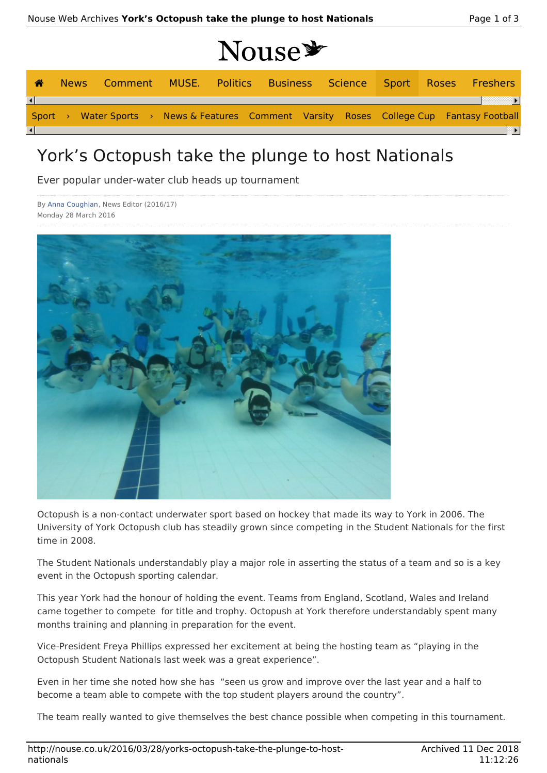| ☎ |  |  |  | News Comment MUSE. Politics Business Science Sport Roses Freshers                         |  |  |  |
|---|--|--|--|-------------------------------------------------------------------------------------------|--|--|--|
|   |  |  |  |                                                                                           |  |  |  |
|   |  |  |  | Sport > Water Sports > News & Features Comment Varsity Roses College Cup Fantasy Football |  |  |  |
|   |  |  |  |                                                                                           |  |  |  |

## York's Octopush take the plunge to host Nationals

Ever popular under-water club heads up tournament

By Anna Coughlan, News Editor (2016/17) Monday 28 March 2016



Octopush is a non-contact underwater sport based on hockey that made its way to York in 2006. The University of York Octopush club has steadily grown since competing in the Student Nationals for the first time in 2008.

The Student Nationals understandably play a major role in asserting the status of a team and so is a key event in the Octopush sporting calendar.

This year York had the honour of holding the event. Teams from England, Scotland, Wales and Ireland came together to compete for title and trophy. Octopush at York therefore understandably spent many months training and planning in preparation for the event.

Vice-President Freya Phillips expressed her excitement at being the hosting team as "playing in the Octopush Student Nationals last week was a great experience".

Even in her time she noted how she has "seen us grow and improve over the last year and a half to become a team able to compete with the top student players around the country".

The team really wanted to give themselves the best chance possible when competing in this tournament.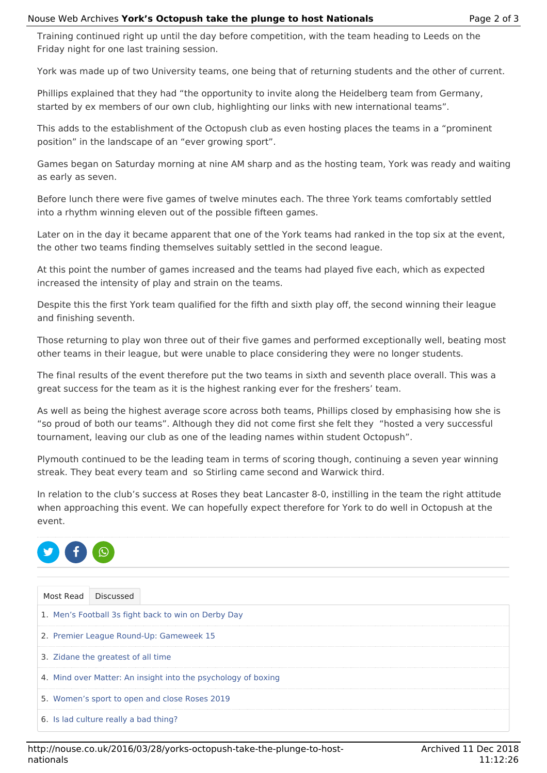Training continued right up until the day before competition, with the team heading to Leeds on the Friday night for one last training session.

York was made up of two University teams, one being that of returning students and the other of current.

Phillips explained that they had "the opportunity to invite along the Heidelberg team from Germany, started by ex members of our own club, highlighting our links with new international teams".

This adds to the establishment of the Octopush club as even hosting places the teams in a "prominent position" in the landscape of an "ever growing sport".

Games began on Saturday morning at nine AM sharp and as the hosting team, York was ready and waiting as early as seven.

Before lunch there were five games of twelve minutes each. The three York teams comfortably settled into a rhythm winning eleven out of the possible fifteen games.

Later on in the day it became apparent that one of the York teams had ranked in the top six at the event, the other two teams finding themselves suitably settled in the second league.

At this point the number of games increased and the teams had played five each, which as expected increased the intensity of play and strain on the teams.

Despite this the first York team qualified for the fifth and sixth play off, the second winning their league and finishing seventh.

Those returning to play won three out of their five games and performed exceptionally well, beating most other teams in their league, but were unable to place considering they were no longer students.

The final results of the event therefore put the two teams in sixth and seventh place overall. This was a great success for the team as it is the highest ranking ever for the freshers' team.

As well as being the highest average score across both teams, Phillips closed by emphasising how she is "so proud of both our teams". Although they did not come first she felt they "hosted a very successful tournament, leaving our club as one of the leading names within student Octopush".

Plymouth continued to be the leading team in terms of scoring though, continuing a seven year winning streak. They beat every team and so Stirling came second and Warwick third.

In relation to the club's success at Roses they beat Lancaster 8-0, instilling in the team the right attitude when approaching this event. We can hopefully expect therefore for York to do well in Octopush at the event.



|                                                     | Most Read Discussed                                           |  |  |  |  |  |  |
|-----------------------------------------------------|---------------------------------------------------------------|--|--|--|--|--|--|
| 1. Men's Football 3s fight back to win on Derby Day |                                                               |  |  |  |  |  |  |
| 2. Premier League Round-Up: Gameweek 15             |                                                               |  |  |  |  |  |  |
| 3. Zidane the greatest of all time                  |                                                               |  |  |  |  |  |  |
|                                                     | 4. Mind over Matter: An insight into the psychology of boxing |  |  |  |  |  |  |
|                                                     | 5. Women's sport to open and close Roses 2019                 |  |  |  |  |  |  |
|                                                     | 6. Is lad culture really a bad thing?                         |  |  |  |  |  |  |